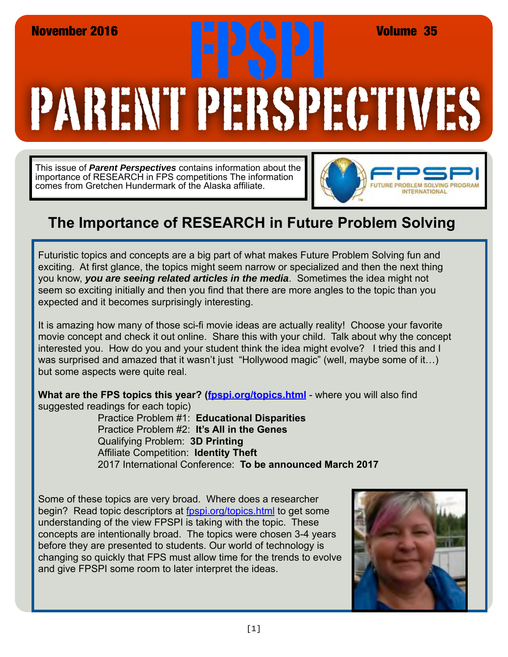## PARENT PERSPECTIVES November 2016<br>**FRANCISCO PRODUCTS PRODUCTS Volume 35**<br>REAL ORDER IN REAL PRODUCTS PRODUCTS PRODUCTS PRODUCTS PRODUCTS PRODUCTS PRODUCTS PRODUCTS PRODUCTS PRODUCTS P<br>REAL ORDER IN REAL PRODUCTS PRODUCTS PRODUCTS PRODUCTS PR

This issue of *Parent Perspectives* contains information about the importance of RESEARCH in FPS competitions The information comes from Gretchen Hundermark of the Alaska affiliate.



## **The Importance of RESEARCH in Future Problem Solving**

Futuristic topics and concepts are a big part of what makes Future Problem Solving fun and exciting. At first glance, the topics might seem narrow or specialized and then the next thing you know, *you are seeing related articles in the media*. Sometimes the idea might not seem so exciting initially and then you find that there are more angles to the topic than you expected and it becomes surprisingly interesting.

It is amazing how many of those sci-fi movie ideas are actually reality! Choose your favorite movie concept and check it out online. Share this with your child. Talk about why the concept interested you. How do you and your student think the idea might evolve? I tried this and I was surprised and amazed that it wasn't just "Hollywood magic" (well, maybe some of it...) but some aspects were quite real.

What are the FPS topics this year? [\(fpspi.org/topics.html](http://www.fpspi.org/topics.html) - where you will also find suggested readings for each topic)

Practice Problem #1: **Educational Disparities** Practice Problem #2: **It's All in the Genes** Qualifying Problem: **3D Printing** Affiliate Competition: **Identity Theft** 2017 International Conference: **To be announced March 2017**

Some of these topics are very broad. Where does a researcher begin? Read topic descriptors at fospi.org/topics.html to get some understanding of the view FPSPI is taking with the topic. These concepts are intentionally broad. The topics were chosen 3-4 years before they are presented to students. Our world of technology is changing so quickly that FPS must allow time for the trends to evolve and give FPSPI some room to later interpret the ideas.

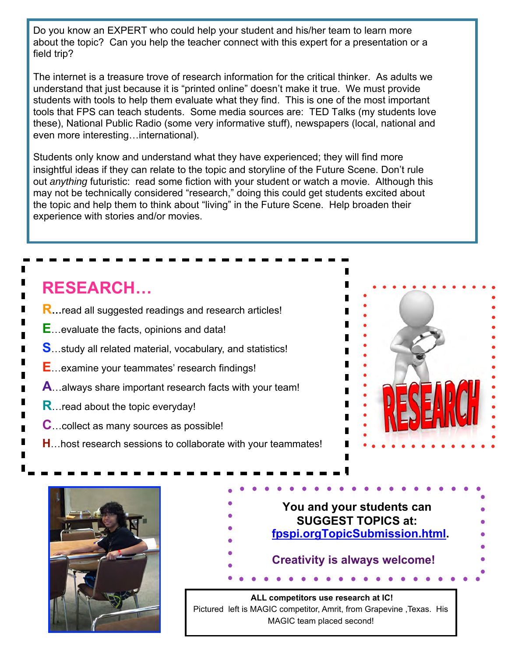Do you know an EXPERT who could help your student and his/her team to learn more about the topic? Can you help the teacher connect with this expert for a presentation or a field trip?

The internet is a treasure trove of research information for the critical thinker. As adults we understand that just because it is "printed online" doesn't make it true. We must provide students with tools to help them evaluate what they find. This is one of the most important tools that FPS can teach students. Some media sources are: TED Talks (my students love these), National Public Radio (some very informative stuff), newspapers (local, national and even more interesting…international).

Students only know and understand what they have experienced; they will find more insightful ideas if they can relate to the topic and storyline of the Future Scene. Don't rule out *anything* futuristic: read some fiction with your student or watch a movie. Although this may not be technically considered "research," doing this could get students excited about the topic and help them to think about "living" in the Future Scene. Help broaden their experience with stories and/or movies.

## **RESEARCH…**

- **R…**read all suggested readings and research articles!
- **E**…evaluate the facts, opinions and data!
- **S**…study all related material, vocabulary, and statistics!
- **E**…examine your teammates' research findings!
- **A**…always share important research facts with your team!
- **R**…read about the topic everyday!
- **C**…collect as many sources as possible!
- **H**…host research sessions to collaborate with your teammates!



## **You and your students can SUGGEST TOPICS at: [fpspi.orgTopicSubmission.html.](http://fpspi.org/TopicSubmission.html)  Creativity is always welcome!**

 **ALL competitors use research at IC!**  Pictured left is MAGIC competitor, Amrit, from Grapevine ,Texas. His MAGIC team placed second!